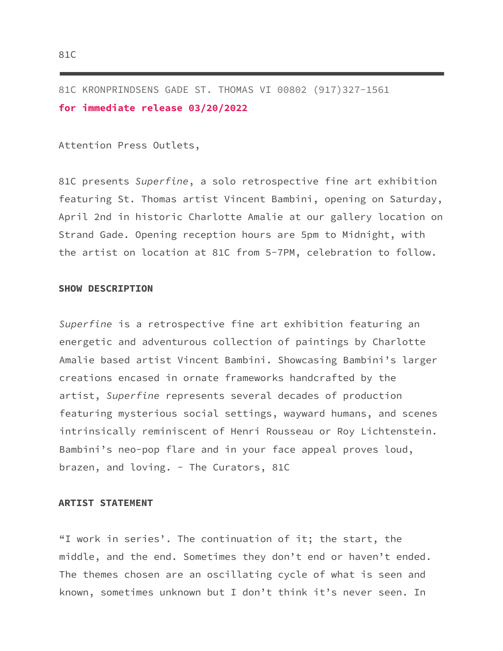81C KRONPRINDSENS GADE ST. THOMAS VI 00802 (917)327-1561 **for immediate release 03/20/2022**

Attention Press Outlets,

81C presents *Superfine*, a solo retrospective fine art exhibition featuring St. Thomas artist Vincent Bambini, opening on Saturday, April 2nd in historic Charlotte Amalie at our gallery location on Strand Gade. Opening reception hours are 5pm to Midnight, with the artist on location at 81C from 5-7PM, celebration to follow.

## **SHOW DESCRIPTION**

*Superfine* is a retrospective fine art exhibition featuring an energetic and adventurous collection of paintings by Charlotte Amalie based artist Vincent Bambini. Showcasing Bambini's larger creations encased in ornate frameworks handcrafted by the artist, *Superfine* represents several decades of production featuring mysterious social settings, wayward humans, and scenes intrinsically reminiscent of Henri Rousseau or Roy Lichtenstein. Bambini's neo-pop flare and in your face appeal proves loud, brazen, and loving. - The Curators, 81C

## **ARTIST STATEMENT**

"I work in series'. The continuation of it; the start, the middle, and the end. Sometimes they don't end or haven't ended. The themes chosen are an oscillating cycle of what is seen and known, sometimes unknown but I don't think it's never seen. In